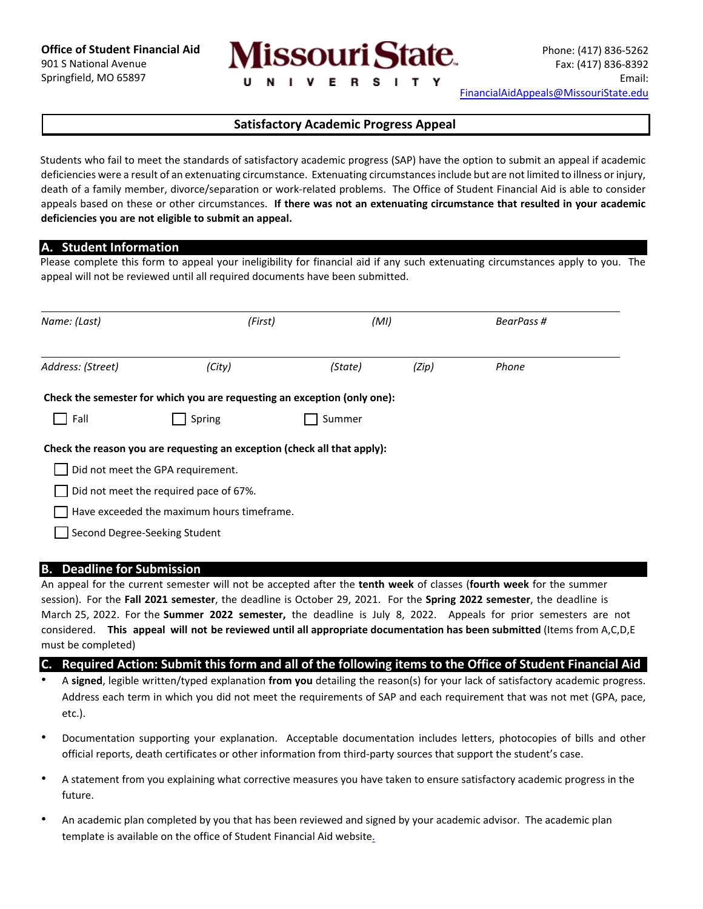

# **Satisfactory Academic Progress Appeal**

Students who fail to meet the standards of satisfactory academic progress (SAP) have the option to submit an appeal if academic deficiencies were a result of an extenuating circumstance. Extenuating circumstances include but are not limited to illness or injury, death of a family member, divorce/separation or work‐related problems. The Office of Student Financial Aid is able to consider appeals based on these or other circumstances. **If there was not an extenuating circumstance that resulted in your academic deficiencies you are not eligible to submit an appeal.** 

### **A. Student Information**

Please complete this form to appeal your ineligibility for financial aid if any such extenuating circumstances apply to you. The appeal will not be reviewed until all required documents have been submitted.

| Name: (Last)      | (First)                                                                  | (MI)    |       | BearPass # |  |
|-------------------|--------------------------------------------------------------------------|---------|-------|------------|--|
| Address: (Street) | (City)                                                                   | (State) | (Zip) | Phone      |  |
|                   | Check the semester for which you are requesting an exception (only one): |         |       |            |  |
| Fall              | Spring                                                                   | Summer  |       |            |  |
|                   | Check the reason you are requesting an exception (check all that apply): |         |       |            |  |
|                   | Did not meet the GPA requirement.                                        |         |       |            |  |
|                   | Did not meet the required pace of 67%.                                   |         |       |            |  |
|                   | Have exceeded the maximum hours timeframe.                               |         |       |            |  |
|                   | Second Degree-Seeking Student                                            |         |       |            |  |

#### **B. Deadline for Submission**

An appeal for the current semester will not be accepted after the **tenth week** of classes (**fourth week** for the summer session). For the **Fall 2021 semester**, the deadline is October 29, 2021. For the **Spring 2022 semester**, the deadline is March 25, 2022. For the **Summer 2022 semester,** the deadline is July 8, 2022. Appeals for prior semesters are not considered. **This appeal will not be reviewed until all appropriate documentation has been submitted** (Items from A,C,D,E must be completed)

#### **C. Required Action: Submit this form and all of the following items to the Office of Student Financial Aid**

- A **signed**, legible written/typed explanation **from you** detailing the reason(s) for your lack of satisfactory academic progress. Address each term in which you did not meet the requirements of SAP and each requirement that was not met (GPA, pace, etc.).
- Documentation supporting your explanation. Acceptable documentation includes letters, photocopies of bills and other official reports, death certificates or other information from third‐party sources that support the student's case.
- A statement from you explaining what corrective measures you have taken to ensure satisfactory academic progress in the future.
- An academic plan completed by you that has been reviewed and signed by your academic advisor. The academic plan template is available on the office of Student Financial Aid website.